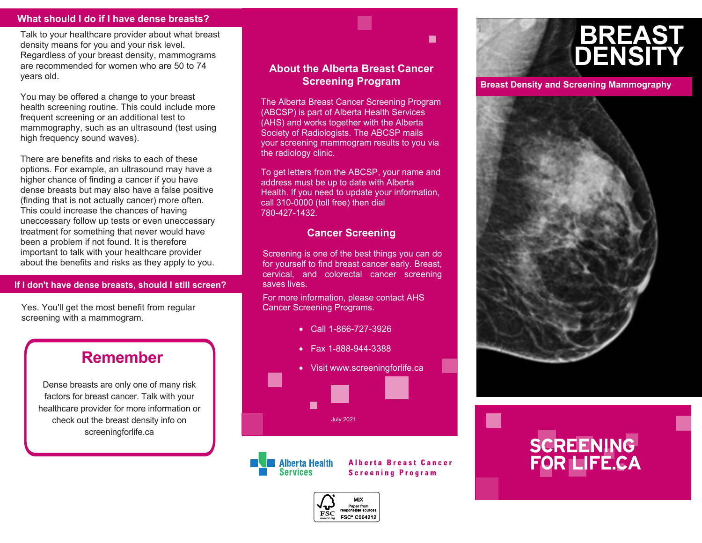#### **What should I do if I have dense breasts?**

Talk to your healthcare provider about what breast density means for you and your risk level. Regardless of your breast density, mammograms are recommended for women who are 50 to 74 years old.

You may be offered a change to your breast health screening routine. This could include more frequent screening or an additional test to mammography, such as an ultrasound (test using high frequency sound waves).

There are benefits and risks to each of these options. For example, an ultrasound may have a higher chance of finding a cancer if you have dense breasts but may also have a false positive (finding that is not actually cancer) more often. This could increase the chances of having uneccessary follow up tests or even uneccessary treatment for something that never would have been a problem if not found. It is therefore important to talk with your healthcare provider about the benefits and risks as they apply to you.

#### **If I don't have dense breasts, should I still screen?**

Yes. You'll get the most benefit from regular screening with a mammogram.

## **Remember**

Dense breasts are only one of many risk factors for breast cancer. Talk with your healthcare provider for more information or check out the breast density info on screeningforlife.ca

## **About the Alberta Breast Cancer Screening Program**

 $\blacksquare$ 

The Alberta Breast Cancer Screening Program (ABCSP) is part of Alberta Health Services (AHS) and works together with the Alberta Society of Radiologists. The ABCSP mails your screening mammogram results to you via the radiology clinic.

To get letters from the ABCSP, your name and address must be up to date with Alberta Health. If you need to update your information, call 310-0000 (toll free) then dial 780-427-1432.

### **Cancer Screening**

Screening is one of the best things you can do for yourself to find breast cancer early. Breast, cervical, and colorectal cancer screening saves lives.

For more information, please contact AHS Cancer Screening Programs.

- Call 1-866-727-3926
- Fax 1-888-944-3388
- Visit www.screeningforlife.ca



**Alberta Health Services** 

**Alberta Breast Cancer Screening Program** 



# **BREAST DENSITY**

**Breast Density and Screening Mammography**